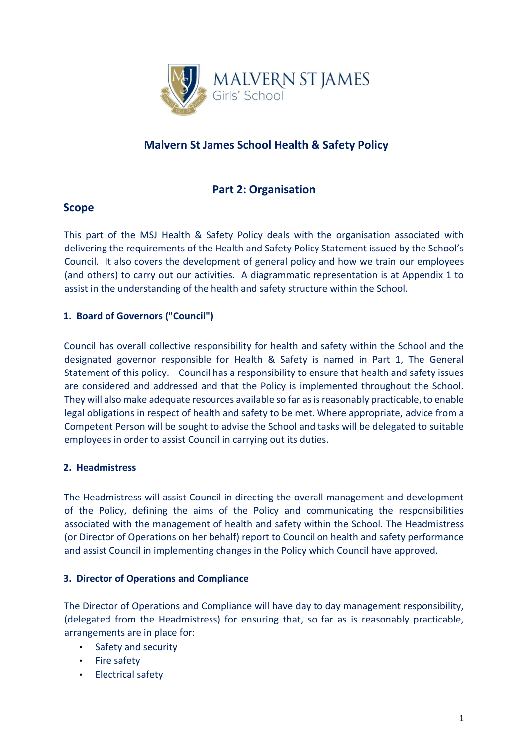

# **Malvern St James School Health & Safety Policy**

# **Part 2: Organisation**

# **Scope**

This part of the MSJ Health & Safety Policy deals with the organisation associated with delivering the requirements of the Health and Safety Policy Statement issued by the School's Council. It also covers the development of general policy and how we train our employees (and others) to carry out our activities. A diagrammatic representation is at Appendix 1 to assist in the understanding of the health and safety structure within the School.

# **1. Board of Governors ("Council")**

Council has overall collective responsibility for health and safety within the School and the designated governor responsible for Health & Safety is named in Part 1, The General Statement of this policy. Council has a responsibility to ensure that health and safety issues are considered and addressed and that the Policy is implemented throughout the School. They will also make adequate resources available so far as is reasonably practicable, to enable legal obligations in respect of health and safety to be met. Where appropriate, advice from a Competent Person will be sought to advise the School and tasks will be delegated to suitable employees in order to assist Council in carrying out its duties.

### **2. Headmistress**

The Headmistress will assist Council in directing the overall management and development of the Policy, defining the aims of the Policy and communicating the responsibilities associated with the management of health and safety within the School. The Headmistress (or Director of Operations on her behalf) report to Council on health and safety performance and assist Council in implementing changes in the Policy which Council have approved.

### **3. Director of Operations and Compliance**

The Director of Operations and Compliance will have day to day management responsibility, (delegated from the Headmistress) for ensuring that, so far as is reasonably practicable, arrangements are in place for:

- Safety and security
- Fire safety
- Electrical safety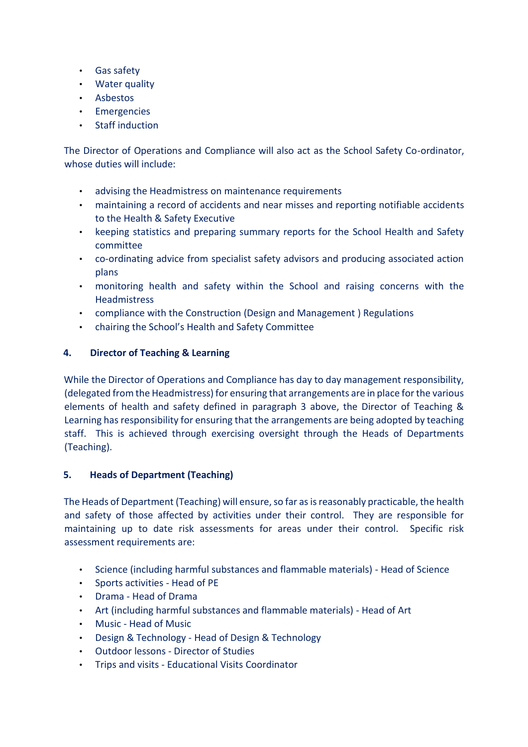- Gas safety
- Water quality
- Asbestos
- Emergencies
- Staff induction

The Director of Operations and Compliance will also act as the School Safety Co-ordinator, whose duties will include:

- advising the Headmistress on maintenance requirements
- maintaining a record of accidents and near misses and reporting notifiable accidents to the Health & Safety Executive
- keeping statistics and preparing summary reports for the School Health and Safety committee
- co-ordinating advice from specialist safety advisors and producing associated action plans
- monitoring health and safety within the School and raising concerns with the **Headmistress**
- compliance with the Construction (Design and Management ) Regulations
- chairing the School's Health and Safety Committee

### **4. Director of Teaching & Learning**

While the Director of Operations and Compliance has day to day management responsibility, (delegated from the Headmistress) for ensuring that arrangements are in place for the various elements of health and safety defined in paragraph 3 above, the Director of Teaching & Learning has responsibility for ensuring that the arrangements are being adopted by teaching staff. This is achieved through exercising oversight through the Heads of Departments (Teaching).

### **5. Heads of Department (Teaching)**

The Heads of Department (Teaching) will ensure, so far as is reasonably practicable, the health and safety of those affected by activities under their control. They are responsible for maintaining up to date risk assessments for areas under their control. Specific risk assessment requirements are:

- Science (including harmful substances and flammable materials) Head of Science
- Sports activities Head of PE
- Drama Head of Drama
- Art (including harmful substances and flammable materials) Head of Art
- Music Head of Music
- Design & Technology Head of Design & Technology
- Outdoor lessons Director of Studies
- Trips and visits Educational Visits Coordinator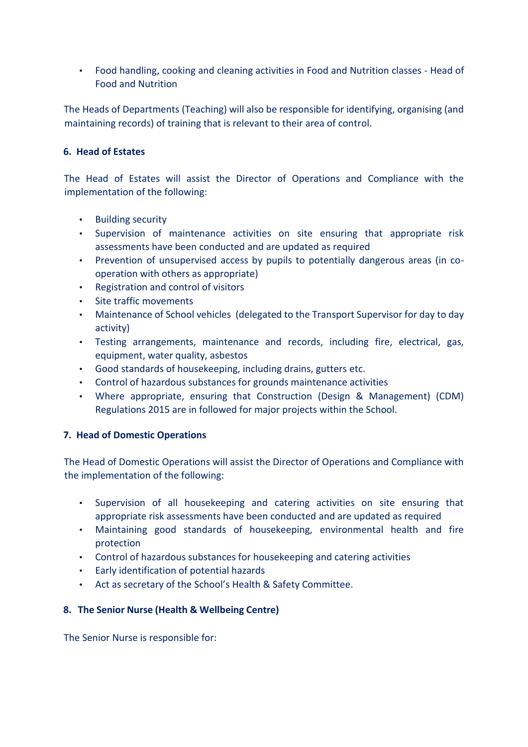• Food handling, cooking and cleaning activities in Food and Nutrition classes - Head of Food and Nutrition

The Heads of Departments (Teaching) will also be responsible for identifying, organising (and maintaining records) of training that is relevant to their area of control.

#### **6. Head of Estates**

The Head of Estates will assist the Director of Operations and Compliance with the implementation of the following:

- Building security
- Supervision of maintenance activities on site ensuring that appropriate risk assessments have been conducted and are updated as required
- Prevention of unsupervised access by pupils to potentially dangerous areas (in cooperation with others as appropriate)
- Registration and control of visitors
- Site traffic movements
- Maintenance of School vehicles (delegated to the Transport Supervisor for day to day activity)
- Testing arrangements, maintenance and records, including fire, electrical, gas, equipment, water quality, asbestos
- Good standards of housekeeping, including drains, gutters etc.
- Control of hazardous substances for grounds maintenance activities
- Where appropriate, ensuring that Construction (Design & Management) (CDM) Regulations 2015 are in followed for major projects within the School.

### **7. Head of Domestic Operations**

The Head of Domestic Operations will assist the Director of Operations and Compliance with the implementation of the following:

- Supervision of all housekeeping and catering activities on site ensuring that appropriate risk assessments have been conducted and are updated as required
- Maintaining good standards of housekeeping, environmental health and fire protection
- Control of hazardous substances for housekeeping and catering activities
- Early identification of potential hazards
- Act as secretary of the School's Health & Safety Committee.

### **8. The Senior Nurse (Health & Wellbeing Centre)**

The Senior Nurse is responsible for: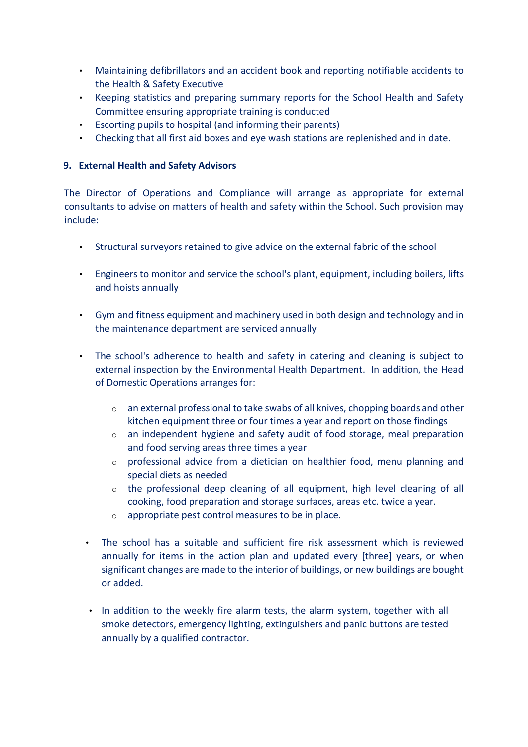- Maintaining defibrillators and an accident book and reporting notifiable accidents to the Health & Safety Executive
- Keeping statistics and preparing summary reports for the School Health and Safety Committee ensuring appropriate training is conducted
- Escorting pupils to hospital (and informing their parents)
- Checking that all first aid boxes and eye wash stations are replenished and in date.

#### **9. External Health and Safety Advisors**

The Director of Operations and Compliance will arrange as appropriate for external consultants to advise on matters of health and safety within the School. Such provision may include:

- Structural surveyors retained to give advice on the external fabric of the school
- Engineers to monitor and service the school's plant, equipment, including boilers, lifts and hoists annually
- Gym and fitness equipment and machinery used in both design and technology and in the maintenance department are serviced annually
- The school's adherence to health and safety in catering and cleaning is subject to external inspection by the Environmental Health Department. In addition, the Head of Domestic Operations arranges for:
	- o an external professional to take swabs of all knives, chopping boards and other kitchen equipment three or four times a year and report on those findings
	- o an independent hygiene and safety audit of food storage, meal preparation and food serving areas three times a year
	- $\circ$  professional advice from a dietician on healthier food, menu planning and special diets as needed
	- $\circ$  the professional deep cleaning of all equipment, high level cleaning of all cooking, food preparation and storage surfaces, areas etc. twice a year.
	- o appropriate pest control measures to be in place.
	- The school has a suitable and sufficient fire risk assessment which is reviewed annually for items in the action plan and updated every [three] years, or when significant changes are made to the interior of buildings, or new buildings are bought or added.
	- In addition to the weekly fire alarm tests, the alarm system, together with all smoke detectors, emergency lighting, extinguishers and panic buttons are tested annually by a qualified contractor.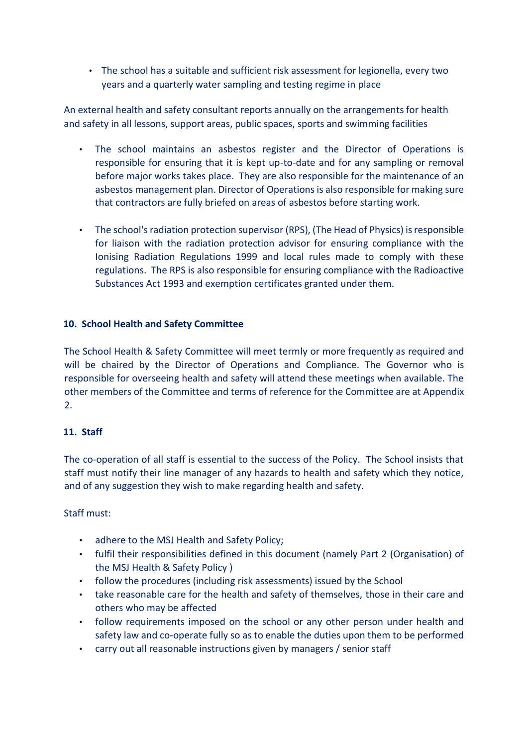• The school has a suitable and sufficient risk assessment for legionella, every two years and a quarterly water sampling and testing regime in place

An external health and safety consultant reports annually on the arrangements for health and safety in all lessons, support areas, public spaces, sports and swimming facilities

- The school maintains an asbestos register and the Director of Operations is responsible for ensuring that it is kept up-to-date and for any sampling or removal before major works takes place. They are also responsible for the maintenance of an asbestos management plan. Director of Operations is also responsible for making sure that contractors are fully briefed on areas of asbestos before starting work.
- The school's radiation protection supervisor (RPS), (The Head of Physics) is responsible for liaison with the radiation protection advisor for ensuring compliance with the Ionising Radiation Regulations 1999 and local rules made to comply with these regulations. The RPS is also responsible for ensuring compliance with the Radioactive Substances Act 1993 and exemption certificates granted under them.

### **10. School Health and Safety Committee**

The School Health & Safety Committee will meet termly or more frequently as required and will be chaired by the Director of Operations and Compliance. The Governor who is responsible for overseeing health and safety will attend these meetings when available. The other members of the Committee and terms of reference for the Committee are at Appendix 2.

### **11. Staff**

The co-operation of all staff is essential to the success of the Policy. The School insists that staff must notify their line manager of any hazards to health and safety which they notice, and of any suggestion they wish to make regarding health and safety.

### Staff must:

- adhere to the MSJ Health and Safety Policy;
- fulfil their responsibilities defined in this document (namely Part 2 (Organisation) of the MSJ Health & Safety Policy )
- follow the procedures (including risk assessments) issued by the School
- take reasonable care for the health and safety of themselves, those in their care and others who may be affected
- follow requirements imposed on the school or any other person under health and safety law and co-operate fully so as to enable the duties upon them to be performed
- carry out all reasonable instructions given by managers / senior staff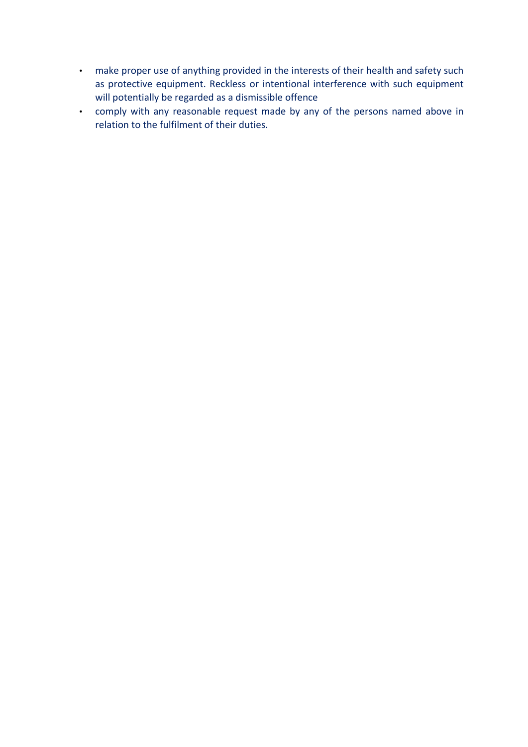- make proper use of anything provided in the interests of their health and safety such as protective equipment. Reckless or intentional interference with such equipment will potentially be regarded as a dismissible offence
- comply with any reasonable request made by any of the persons named above in relation to the fulfilment of their duties.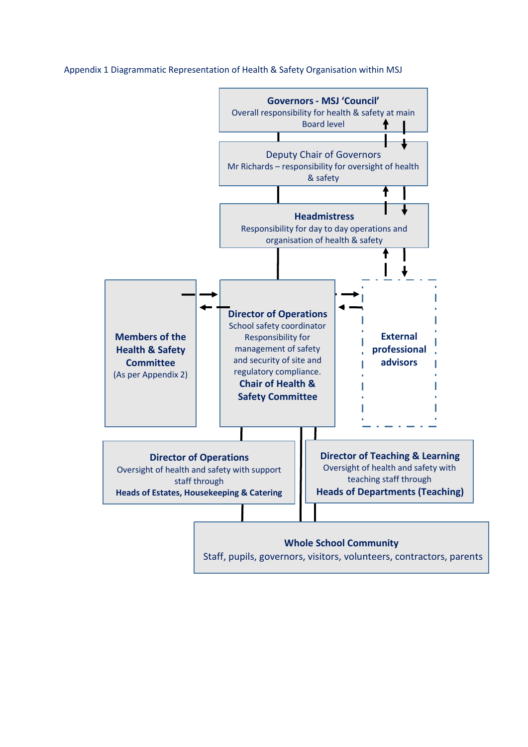Appendix 1 Diagrammatic Representation of Health & Safety Organisation within MSJ



#### **Whole School Community**

Staff, pupils, governors, visitors, volunteers, contractors, parents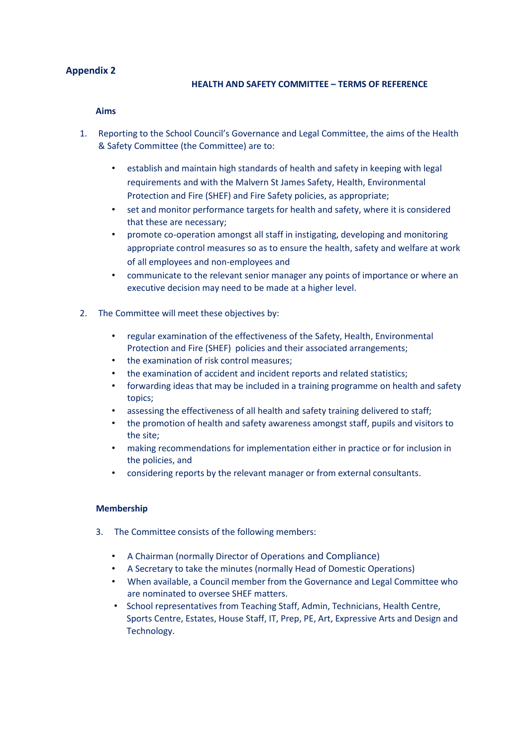#### **Appendix 2**

#### **HEALTH AND SAFETY COMMITTEE – TERMS OF REFERENCE**

#### **Aims**

- 1. Reporting to the School Council's Governance and Legal Committee, the aims of the Health & Safety Committee (the Committee) are to:
	- establish and maintain high standards of health and safety in keeping with legal requirements and with the Malvern St James Safety, Health, Environmental Protection and Fire (SHEF) and Fire Safety policies, as appropriate;
	- set and monitor performance targets for health and safety, where it is considered that these are necessary;
	- promote co-operation amongst all staff in instigating, developing and monitoring appropriate control measures so as to ensure the health, safety and welfare at work of all employees and non-employees and
	- communicate to the relevant senior manager any points of importance or where an executive decision may need to be made at a higher level.
- 2. The Committee will meet these objectives by:
	- regular examination of the effectiveness of the Safety, Health, Environmental Protection and Fire (SHEF) policies and their associated arrangements;
	- the examination of risk control measures;
	- the examination of accident and incident reports and related statistics;
	- forwarding ideas that may be included in a training programme on health and safety topics;
	- assessing the effectiveness of all health and safety training delivered to staff;
	- the promotion of health and safety awareness amongst staff, pupils and visitors to the site;
	- making recommendations for implementation either in practice or for inclusion in the policies, and
	- considering reports by the relevant manager or from external consultants.

#### **Membership**

- 3. The Committee consists of the following members:
	- A Chairman (normally Director of Operations and Compliance)
	- A Secretary to take the minutes (normally Head of Domestic Operations)
	- When available, a Council member from the Governance and Legal Committee who are nominated to oversee SHEF matters.
	- School representatives from Teaching Staff, Admin, Technicians, Health Centre, Sports Centre, Estates, House Staff, IT, Prep, PE, Art, Expressive Arts and Design and Technology.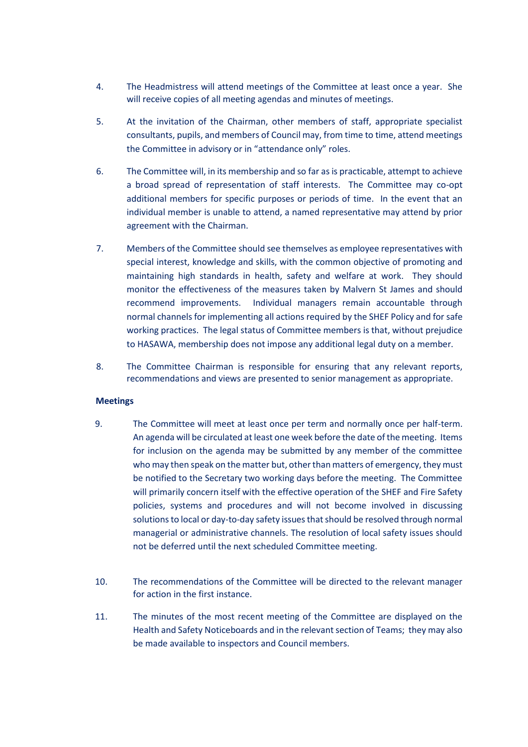- 4. The Headmistress will attend meetings of the Committee at least once a year. She will receive copies of all meeting agendas and minutes of meetings.
- 5. At the invitation of the Chairman, other members of staff, appropriate specialist consultants, pupils, and members of Council may, from time to time, attend meetings the Committee in advisory or in "attendance only" roles.
- 6. The Committee will, in its membership and so far as is practicable, attempt to achieve a broad spread of representation of staff interests. The Committee may co-opt additional members for specific purposes or periods of time. In the event that an individual member is unable to attend, a named representative may attend by prior agreement with the Chairman.
- 7. Members of the Committee should see themselves as employee representatives with special interest, knowledge and skills, with the common objective of promoting and maintaining high standards in health, safety and welfare at work. They should monitor the effectiveness of the measures taken by Malvern St James and should recommend improvements. Individual managers remain accountable through normal channels for implementing all actions required by the SHEF Policy and for safe working practices. The legal status of Committee members is that, without prejudice to HASAWA, membership does not impose any additional legal duty on a member.
- 8. The Committee Chairman is responsible for ensuring that any relevant reports, recommendations and views are presented to senior management as appropriate.

#### **Meetings**

- 9. The Committee will meet at least once per term and normally once per half-term. An agenda will be circulated at least one week before the date of the meeting. Items for inclusion on the agenda may be submitted by any member of the committee who may then speak on the matter but, other than matters of emergency, they must be notified to the Secretary two working days before the meeting. The Committee will primarily concern itself with the effective operation of the SHEF and Fire Safety policies, systems and procedures and will not become involved in discussing solutions to local or day-to-day safety issues that should be resolved through normal managerial or administrative channels. The resolution of local safety issues should not be deferred until the next scheduled Committee meeting.
- 10. The recommendations of the Committee will be directed to the relevant manager for action in the first instance.
- 11. The minutes of the most recent meeting of the Committee are displayed on the Health and Safety Noticeboards and in the relevant section of Teams; they may also be made available to inspectors and Council members.